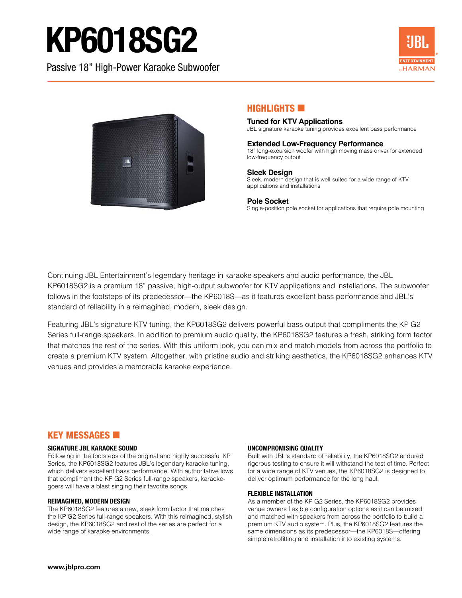# KP6018SG2

Passive 18" High-Power Karaoke Subwoofer





#### HIGHLIGHTS **60**

#### **Tuned for KTV Applications**

JBL signature karaoke tuning provides excellent bass performance

#### **Extended Low-Frequency Performance**

18" long-excursion woofer with high moving mass driver for extended low-frequency output

#### **Sleek Design**

Sleek, modern design that is well-suited for a wide range of KTV applications and installations

#### **Pole Socket**

Single-position pole socket for applications that require pole mounting

Continuing JBL Entertainment's legendary heritage in karaoke speakers and audio performance, the JBL KP6018SG2 is a premium 18" passive, high-output subwoofer for KTV applications and installations. The subwoofer follows in the footsteps of its predecessor—the KP6018S—as it features excellent bass performance and JBL's standard of reliability in a reimagined, modern, sleek design.

Featuring JBL's signature KTV tuning, the KP6018SG2 delivers powerful bass output that compliments the KP G2 Series full-range speakers. In addition to premium audio quality, the KP6018SG2 features a fresh, striking form factor that matches the rest of the series. With this uniform look, you can mix and match models from across the portfolio to create a premium KTV system. Altogether, with pristine audio and striking aesthetics, the KP6018SG2 enhances KTV venues and provides a memorable karaoke experience.

#### **KEY MESSAGES <b>E**

#### **SIGNATURE JBL KARAOKE SOUND**

Following in the footsteps of the original and highly successful KP Series, the KP6018SG2 features JBL's legendary karaoke tuning, which delivers excellent bass performance. With authoritative lows that compliment the KP G2 Series full-range speakers, karaokegoers will have a blast singing their favorite songs.

#### **REIMAGINED, MODERN DESIGN**

The KP6018SG2 features a new, sleek form factor that matches the KP G2 Series full-range speakers. With this reimagined, stylish design, the KP6018SG2 and rest of the series are perfect for a wide range of karaoke environments.

#### **UNCOMPROMISING QUALITY**

Built with JBL's standard of reliability, the KP6018SG2 endured rigorous testing to ensure it will withstand the test of time. Perfect for a wide range of KTV venues, the KP6018SG2 is designed to deliver optimum performance for the long haul.

#### **FLEXIBLE INSTALLATION**

As a member of the KP G2 Series, the KP6018SG2 provides venue owners flexible configuration options as it can be mixed and matched with speakers from across the portfolio to build a premium KTV audio system. Plus, the KP6018SG2 features the same dimensions as its predecessor—the KP6018S—offering simple retrofitting and installation into existing systems.